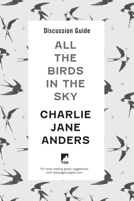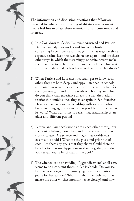

**The information and discussion questions that follow are intended to enhance your reading of** *All the Birds in the Sky.* **Please feel free to adapt these materials to suit your needs and interests.** 

- 1) In *All the Birds in the Sky,* Laurence Armstead and Patricia Delfine embody two worlds and two often brutally competing forces: science and magic. In what ways do those separate realms keep the two characters apart—and are there other ways in which their seemingly opposite powers make them familiar to each other, or draw them closer? How is it that they understand each other so well across such a divide?
- 2) When Patricia and Laurence first really get to know each other, they are both deeply unhappy—trapped in schools and homes in which they are scorned or even punished for their greatest gifts and for the truth of who they are. How do you think that experience affects the way their adult relationship unfolds once they meet again in San Francisco? Have you ever renewed a friendship with someone who knew you long ago, at a time when you felt your life was at its worst? What was it like to revisit that relationship as an older and different person?
- 3) Patricia and Laurence's worlds orbit each other throughout the book, clashing more often and more severely as their story escalates. Are science and magic—as worldviews essentially at odds? What are the goals and priorities of each? Are there any goals that they share? Could there be benefits to their overlapping or working together, and do you see any examples of that in the book?
- 4) The witches' code of avoiding "Aggrandizement" at all costs seems to be a constant thorn in Patricia's side. Do you see Patricia as self-aggrandizing—trying to gather attention or praise for her abilities? What is it about her behavior that makes the other witches monitor her so closely? And how

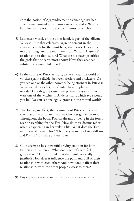does the notion of Aggrandizement balance against her extraordinary—and growing—powers and skills? Why is humility so important to the community of witches?

- 5) Laurence's world, on the other hand, is part of the Silicon Valley culture that celebrates aggrandizement in the constant search for the most buzz, the most celebrity, the most funding, and the most attention. What is Laurence's relationship to that culture? What are his truest priorities, the goals that he cares most about? Have they changed substantially since childhood?
- 6) In the course of Patricia's story, we learn that the world of witches spans a divide, between Healers and Tricksters. Do you see one or the other power as being stronger in Patricia? What role does each type of witch have to play in the world? Do both groups use their powers for good? If you were one of the witches in Anders's story, which type would you be? Do you see analogous groups in the mortal world?
- 7) The Tree is, in effect, the beginning of Patricia's life as a witch, and the birds are the ones who first guide her to it. Throughout the book, Patricia dreams of being in the forest, near or searching for the Tree. How do these dreams reflect what is happening in her waking life? What does the Tree most crucially symbolize? What do you make of its riddle and Patricia's ultimate answer to it?
- 8) Guilt seems to be a powerful driving emotion for both Patricia and Laurence. What does each of them feel guilty about? Do you think that their guilt is usually justified? How does it influence the push and pull of their relationship with each other? And how does it affect their relationships with the other people closest to them?
- 9) Priya's disappearance and subsequent reappearance haunts